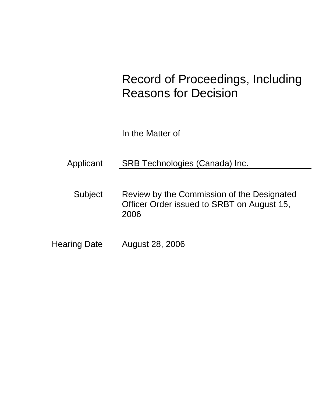# Record of Proceedings, Including Reasons for Decision

In the Matter of

Applicant SRB Technologies (Canada) Inc.

Subject Review by the Commission of the Designated Officer Order issued to SRBT on August 15, 2006

Hearing Date August 28, 2006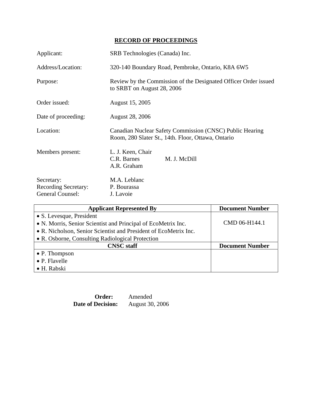# **RECORD OF PROCEEDINGS**

| Applicant:                                                           | SRB Technologies (Canada) Inc.                                                                                 |  |
|----------------------------------------------------------------------|----------------------------------------------------------------------------------------------------------------|--|
| Address/Location:                                                    | 320-140 Boundary Road, Pembroke, Ontario, K8A 6W5                                                              |  |
| Purpose:                                                             | Review by the Commission of the Designated Officer Order issued<br>to SRBT on August 28, 2006                  |  |
| Order issued:                                                        | August 15, 2005                                                                                                |  |
| Date of proceeding:                                                  | <b>August 28, 2006</b>                                                                                         |  |
| Location:                                                            | Canadian Nuclear Safety Commission (CNSC) Public Hearing<br>Room, 280 Slater St., 14th. Floor, Ottawa, Ontario |  |
| Members present:                                                     | L. J. Keen, Chair<br>C.R. Barnes<br>M. J. McDill<br>A.R. Graham                                                |  |
| Secretary:<br><b>Recording Secretary:</b><br><b>General Counsel:</b> | M.A. Leblanc<br>P. Bourassa<br>J. Lavoie                                                                       |  |

| <b>Applicant Represented By</b>                                  | <b>Document Number</b> |
|------------------------------------------------------------------|------------------------|
| • S. Levesque, President                                         |                        |
| • N. Morris, Senior Scientist and Principal of EcoMetrix Inc.    | CMD 06-H144.1          |
| • R. Nicholson, Senior Scientist and President of EcoMetrix Inc. |                        |
| • R. Osborne, Consulting Radiological Protection                 |                        |
| <b>CNSC</b> staff                                                | <b>Document Number</b> |
| • P. Thompson                                                    |                        |
| • P. Flavelle                                                    |                        |
| • H. Rabski                                                      |                        |

Order: Amended<br>Decision: August 30, 2006 **Date of Decision:**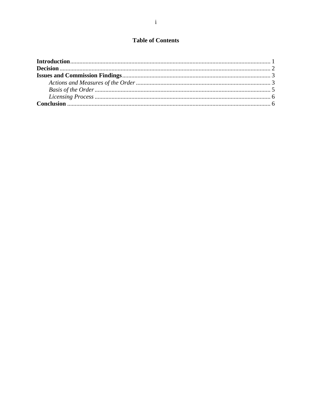# **Table of Contents**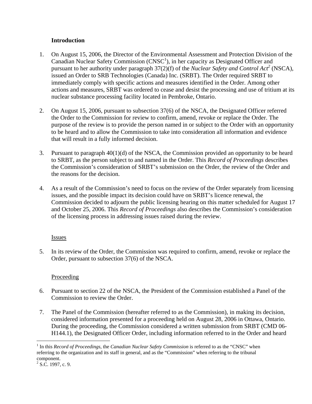# **Introduction**

- 1. On August 15, 2006, the Director of the Environmental Assessment and Protection Division of the Canadian Nuclear Safety Commission  $(CNSC<sup>1</sup>)$ , in her capacity as Designated Officer and pursuant to her authority under paragraph  $37(2)(f)$  of the *Nuclear Safety and Control Act<sup>2</sup>* (NSCA), issued an Order to SRB Technologies (Canada) Inc. (SRBT). The Order required SRBT to immediately comply with specific actions and measures identified in the Order. Among other actions and measures, SRBT was ordered to cease and desist the processing and use of tritium at its nuclear substance processing facility located in Pembroke, Ontario.
- 2. On August 15, 2006, pursuant to subsection 37(6) of the NSCA, the Designated Officer referred the Order to the Commission for review to confirm, amend, revoke or replace the Order. The purpose of the review is to provide the person named in or subject to the Order with an opportunity to be heard and to allow the Commission to take into consideration all information and evidence that will result in a fully informed decision.
- 3. Pursuant to paragraph 40(1)(d) of the NSCA, the Commission provided an opportunity to be heard to SRBT, as the person subject to and named in the Order. This *Record of Proceedings* describes the Commission's consideration of SRBT's submission on the Order, the review of the Order and the reasons for the decision.
- 4. As a result of the Commission's need to focus on the review of the Order separately from licensing issues, and the possible impact its decision could have on SRBT's licence renewal, the Commission decided to adjourn the public licensing hearing on this matter scheduled for August 17 and October 25, 2006. This *Record of Proceedings* also describes the Commission's consideration of the licensing process in addressing issues raised during the review.

## **Issues**

5. In its review of the Order, the Commission was required to confirm, amend, revoke or replace the Order, pursuant to subsection 37(6) of the NSCA.

# **Proceeding**

- 6. Pursuant to section 22 of the NSCA, the President of the Commission established a Panel of the Commission to review the Order.
- 7. The Panel of the Commission (hereafter referred to as the Commission), in making its decision, considered information presented for a proceeding held on August 28, 2006 in Ottawa, Ontario. During the proceeding, the Commission considered a written submission from SRBT (CMD 06- H144.1), the Designated Officer Order, including information referred to in the Order and heard

 $\overline{a}$ 

<sup>&</sup>lt;sup>1</sup> In this *Record of Proceedings,* the *Canadian Nuclear Safety Commission* is referred to as the "CNSC" when referring to the organization and its staff in general, and as the "Commission" when referring to the tribunal component.

 $2^2$  S.C. 1997, c. 9.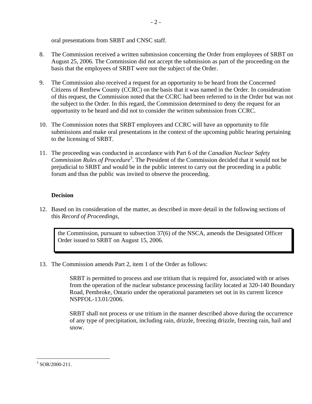oral presentations from SRBT and CNSC staff.

- 8. The Commission received a written submission concerning the Order from employees of SRBT on August 25, 2006. The Commission did not accept the submission as part of the proceeding on the basis that the employees of SRBT were not the subject of the Order.
- 9. The Commission also received a request for an opportunity to be heard from the Concerned Citizens of Renfrew County (CCRC) on the basis that it was named in the Order. In consideration of this request, the Commission noted that the CCRC had been referred to in the Order but was not the subject to the Order. In this regard, the Commission determined to deny the request for an opportunity to be heard and did not to consider the written submission from CCRC.
- 10. The Commission notes that SRBT employees and CCRC will have an opportunity to file submissions and make oral presentations in the context of the upcoming public hearing pertaining to the licensing of SRBT.
- 11. The proceeding was conducted in accordance with Part 6 of the *Canadian Nuclear Safety*  Commission Rules of Procedure<sup>3</sup>. The President of the Commission decided that it would not be prejudicial to SRBT and would be in the public interest to carry out the proceeding in a public forum and thus the public was invited to observe the proceeding.

# **Decision**

12. Based on its consideration of the matter, as described in more detail in the following sections of this *Record of Proceedings*,

the Commission, pursuant to subsection 37(6) of the NSCA, amends the Designated Officer Order issued to SRBT on August 15, 2006.

13. The Commission amends Part 2, item 1 of the Order as follows:

SRBT is permitted to process and use tritium that is required for, associated with or arises from the operation of the nuclear substance processing facility located at 320-140 Boundary Road, Pembroke, Ontario under the operational parameters set out in its current licence NSPFOL-13.01/2006.

SRBT shall not process or use tritium in the manner described above during the occurrence of any type of precipitation, including rain, drizzle, freezing drizzle, freezing rain, hail and snow.

 $\overline{a}$  $3$  SOR/2000-211.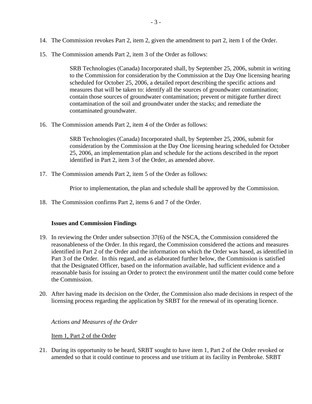- 14. The Commission revokes Part 2, item 2, given the amendment to part 2, item 1 of the Order.
- 15. The Commission amends Part 2, item 3 of the Order as follows:

SRB Technologies (Canada) Incorporated shall, by September 25, 2006, submit in writing to the Commission for consideration by the Commission at the Day One licensing hearing scheduled for October 25, 2006, a detailed report describing the specific actions and measures that will be taken to: identify all the sources of groundwater contamination; contain those sources of groundwater contamination; prevent or mitigate further direct contamination of the soil and groundwater under the stacks; and remediate the contaminated groundwater.

16. The Commission amends Part 2, item 4 of the Order as follows:

SRB Technologies (Canada) Incorporated shall, by September 25, 2006, submit for consideration by the Commission at the Day One licensing hearing scheduled for October 25, 2006, an implementation plan and schedule for the actions described in the report identified in Part 2, item 3 of the Order, as amended above.

17. The Commission amends Part 2, item 5 of the Order as follows:

Prior to implementation, the plan and schedule shall be approved by the Commission.

18. The Commission confirms Part 2, items 6 and 7 of the Order.

#### **Issues and Commission Findings**

- 19. In reviewing the Order under subsection 37(6) of the NSCA, the Commission considered the reasonableness of the Order. In this regard, the Commission considered the actions and measures identified in Part 2 of the Order and the information on which the Order was based, as identified in Part 3 of the Order. In this regard, and as elaborated further below, the Commission is satisfied that the Designated Officer, based on the information available, had sufficient evidence and a reasonable basis for issuing an Order to protect the environment until the matter could come before the Commission.
- 20. After having made its decision on the Order, the Commission also made decisions in respect of the licensing process regarding the application by SRBT for the renewal of its operating licence.

*Actions and Measures of the Order*

Item 1, Part 2 of the Order

21. During its opportunity to be heard, SRBT sought to have item 1, Part 2 of the Order revoked or amended so that it could continue to process and use tritium at its facility in Pembroke. SRBT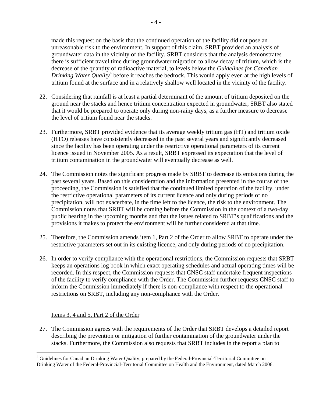made this request on the basis that the continued operation of the facility did not pose an unreasonable risk to the environment. In support of this claim, SRBT provided an analysis of groundwater data in the vicinity of the facility. SRBT considers that the analysis demonstrates there is sufficient travel time during groundwater migration to allow decay of tritium, which is the decrease of the quantity of radioactive material, to levels below the *Guidelines for Canadian*  Drinking Water Quality<sup>4</sup> before it reaches the bedrock. This would apply even at the high levels of tritium found at the surface and in a relatively shallow well located in the vicinity of the facility.

- 22. Considering that rainfall is at least a partial determinant of the amount of tritium deposited on the ground near the stacks and hence tritium concentration expected in groundwater, SRBT also stated that it would be prepared to operate only during non-rainy days, as a further measure to decrease the level of tritium found near the stacks.
- 23. Furthermore, SRBT provided evidence that its average weekly tritium gas (HT) and tritium oxide (HTO) releases have consistently decreased in the past several years and significantly decreased since the facility has been operating under the restrictive operational parameters of its current licence issued in November 2005. As a result, SRBT expressed its expectation that the level of tritium contamination in the groundwater will eventually decrease as well.
- 24. The Commission notes the significant progress made by SRBT to decrease its emissions during the past several years. Based on this consideration and the information presented in the course of the proceeding, the Commission is satisfied that the continued limited operation of the facility, under the restrictive operational parameters of its current licence and only during periods of no precipitation, will not exacerbate, in the time left to the licence, the risk to the environment. The Commission notes that SRBT will be coming before the Commission in the context of a two-day public hearing in the upcoming months and that the issues related to SRBT's qualifications and the provisions it makes to protect the environment will be further considered at that time.
- 25. Therefore, the Commission amends item 1, Part 2 of the Order to allow SRBT to operate under the restrictive parameters set out in its existing licence, and only during periods of no precipitation.
- 26. In order to verify compliance with the operational restrictions, the Commission requests that SRBT keeps an operations log book in which exact operating schedules and actual operating times will be recorded. In this respect, the Commission requests that CNSC staff undertake frequent inspections of the facility to verify compliance with the Order. The Commission further requests CNSC staff to inform the Commission immediately if there is non-compliance with respect to the operational restrictions on SRBT, including any non-compliance with the Order.

## Items 3, 4 and 5, Part 2 of the Order

 $\overline{a}$ 

27. The Commission agrees with the requirements of the Order that SRBT develops a detailed report describing the prevention or mitigation of further contamination of the groundwater under the stacks. Furthermore, the Commission also requests that SRBT includes in the report a plan to

<sup>&</sup>lt;sup>4</sup> Guidelines for Canadian Drinking Water Quality, prepared by the Federal-Provincial-Territorial Committee on Drinking Water of the Federal-Provincial-Territorial Committee on Health and the Environment, dated March 2006.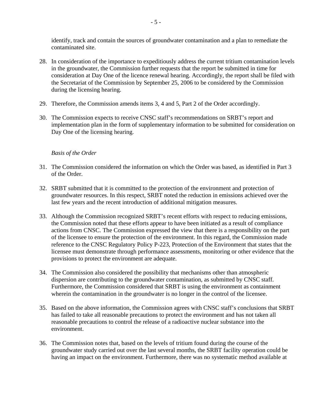identify, track and contain the sources of groundwater contamination and a plan to remediate the contaminated site.

- 28. In consideration of the importance to expeditiously address the current tritium contamination levels in the groundwater, the Commission further requests that the report be submitted in time for consideration at Day One of the licence renewal hearing. Accordingly, the report shall be filed with the Secretariat of the Commission by September 25, 2006 to be considered by the Commission during the licensing hearing.
- 29. Therefore, the Commission amends items 3, 4 and 5, Part 2 of the Order accordingly.
- 30. The Commission expects to receive CNSC staff's recommendations on SRBT's report and implementation plan in the form of supplementary information to be submitted for consideration on Day One of the licensing hearing.

## *Basis of the Order*

- 31. The Commission considered the information on which the Order was based, as identified in Part 3 of the Order.
- 32. SRBT submitted that it is committed to the protection of the environment and protection of groundwater resources. In this respect, SRBT noted the reduction in emissions achieved over the last few years and the recent introduction of additional mitigation measures.
- 33. Although the Commission recognized SRBT's recent efforts with respect to reducing emissions, the Commission noted that these efforts appear to have been initiated as a result of compliance actions from CNSC. The Commission expressed the view that there is a responsibility on the part of the licensee to ensure the protection of the environment. In this regard, the Commission made reference to the CNSC Regulatory Policy P-223, Protection of the Environment that states that the licensee must demonstrate through performance assessments, monitoring or other evidence that the provisions to protect the environment are adequate.
- 34. The Commission also considered the possibility that mechanisms other than atmospheric dispersion are contributing to the groundwater contamination, as submitted by CNSC staff. Furthermore, the Commission considered that SRBT is using the environment as containment wherein the contamination in the groundwater is no longer in the control of the licensee.
- 35. Based on the above information, the Commission agrees with CNSC staff's conclusions that SRBT has failed to take all reasonable precautions to protect the environment and has not taken all reasonable precautions to control the release of a radioactive nuclear substance into the environment.
- 36. The Commission notes that, based on the levels of tritium found during the course of the groundwater study carried out over the last several months, the SRBT facility operation could be having an impact on the environment. Furthermore, there was no systematic method available at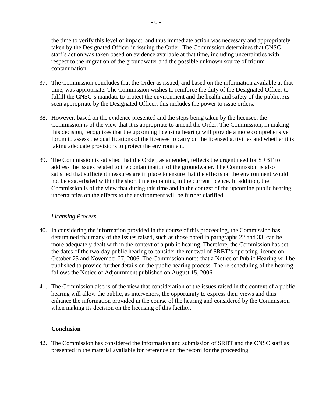the time to verify this level of impact, and thus immediate action was necessary and appropriately taken by the Designated Officer in issuing the Order. The Commission determines that CNSC staff's action was taken based on evidence available at that time, including uncertainties with respect to the migration of the groundwater and the possible unknown source of tritium contamination.

- 37. The Commission concludes that the Order as issued, and based on the information available at that time, was appropriate. The Commission wishes to reinforce the duty of the Designated Officer to fulfill the CNSC's mandate to protect the environment and the health and safety of the public. As seen appropriate by the Designated Officer, this includes the power to issue orders.
- 38. However, based on the evidence presented and the steps being taken by the licensee, the Commission is of the view that it is appropriate to amend the Order. The Commission, in making this decision, recognizes that the upcoming licensing hearing will provide a more comprehensive forum to assess the qualifications of the licensee to carry on the licensed activities and whether it is taking adequate provisions to protect the environment.
- 39. The Commission is satisfied that the Order, as amended, reflects the urgent need for SRBT to address the issues related to the contamination of the groundwater. The Commission is also satisfied that sufficient measures are in place to ensure that the effects on the environment would not be exacerbated within the short time remaining in the current licence. In addition, the Commission is of the view that during this time and in the context of the upcoming public hearing, uncertainties on the effects to the environment will be further clarified.

## *Licensing Process*

- 40. In considering the information provided in the course of this proceeding, the Commission has determined that many of the issues raised, such as those noted in paragraphs 22 and 33, can be more adequately dealt with in the context of a public hearing. Therefore, the Commission has set the dates of the two-day public hearing to consider the renewal of SRBT's operating licence on October 25 and November 27, 2006. The Commission notes that a Notice of Public Hearing will be published to provide further details on the public hearing process. The re-scheduling of the hearing follows the Notice of Adjournment published on August 15, 2006.
- 41. The Commission also is of the view that consideration of the issues raised in the context of a public hearing will allow the public, as intervenors, the opportunity to express their views and thus enhance the information provided in the course of the hearing and considered by the Commission when making its decision on the licensing of this facility.

## **Conclusion**

42. The Commission has considered the information and submission of SRBT and the CNSC staff as presented in the material available for reference on the record for the proceeding.